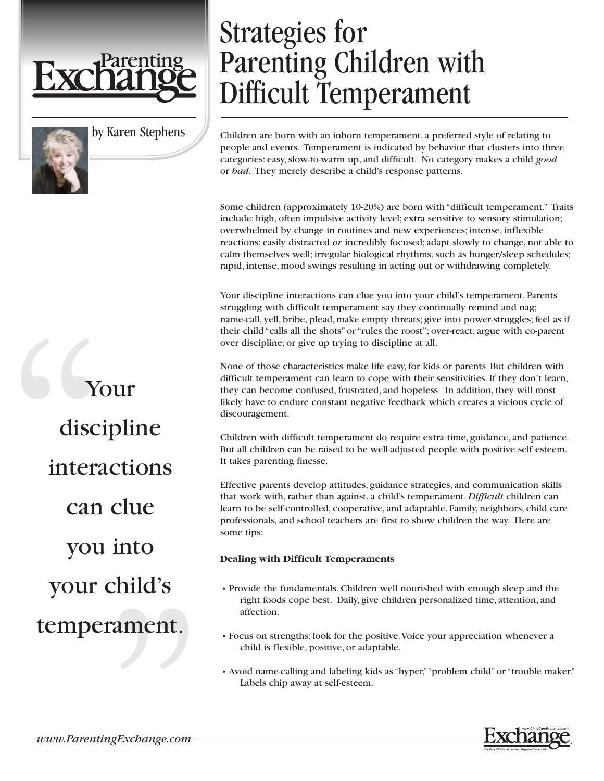

## by Karen Stephens

Children are born with an inborn temperament, a preferred style of relating to people and events. Temperament is indicated by behavior that clusters into three categories: easy, slow-to-warm up, and difficult. No category makes a child *good* or *bad*. They merely describe a child's response patterns.

Parenting Children with

Difficult Temperament

Some children (approximately 10-20%) are born with "difficult temperament." Traits include: high, often impulsive activity level; extra sensitive to sensory stimulation; overwhelmed by change in routines and new experiences; intense, inflexible reactions; easily distracted *or* incredibly focused; adapt slowly to change, not able to calm themselves well; irregular biological rhythms, such as hunger/sleep schedules; rapid, intense, mood swings resulting in acting out or withdrawing completely.

Your discipline interactions can clue you into your child's temperament. Parents struggling with difficult temperament say they continually remind and nag; name-call, yell, bribe, plead, make empty threats; give into power-struggles; feel as if their child "calls all the shots" or "rules the roost"; over-react; argue with co-parent over discipline; or give up trying to discipline at all.

None of those characteristics make life easy, for kids or parents. But children with difficult temperament can learn to cope with their sensitivities. If they don't learn, they can become confused, frustrated, and hopeless. In addition, they will most likely have to endure constant negative feedback which creates a vicious cycle of discouragement.

Children with difficult temperament do require extra time, guidance, and patience. But all children can be raised to be well-adjusted people with positive self esteem. It takes parenting finesse.

Effective parents develop attitudes, guidance strategies, and communication skills that work with, rather than against, a child's temperament. *Difficult* children can learn to be self-controlled, cooperative, and adaptable. Family, neighbors, child care professionals, and school teachers are first to show children the way. Here are some tips:

## **Dealing with Difficult Temperaments**

Strategies for

- Provide the fundamentals. Children well nourished with enough sleep and the right foods cope best. Daily, give children personalized time, attention, and affection.
- Focus on strengths; look for the positive.Voice your appreciation whenever a child is flexible, positive, or adaptable.
- Avoid name-calling and labeling kids as "hyper,""problem child" or "trouble maker." Labels chip away at self-esteem.

Your discipline interactions can clue you into your child's temperament.



*www.ParentingExchange.com*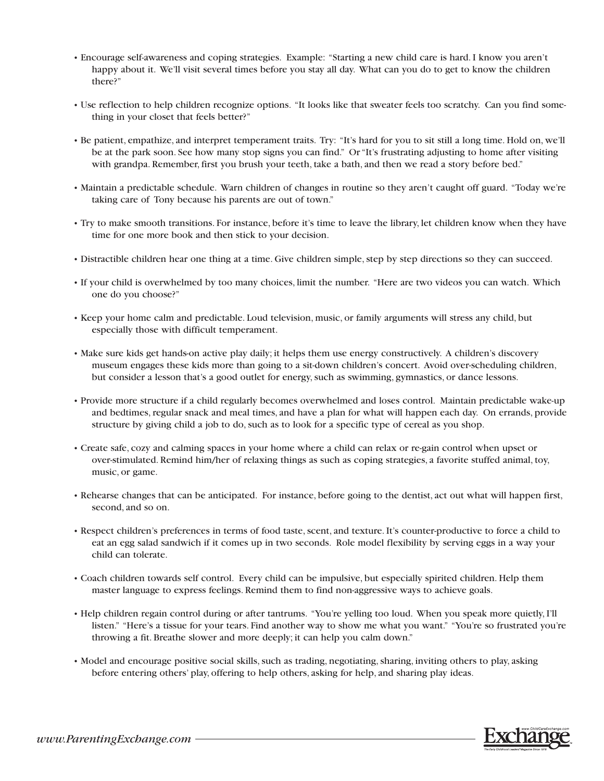- Encourage self-awareness and coping strategies. Example: "Starting a new child care is hard. I know you aren't happy about it. We'll visit several times before you stay all day. What can you do to get to know the children there?"
- Use reflection to help children recognize options. "It looks like that sweater feels too scratchy. Can you find something in your closet that feels better?"
- Be patient, empathize, and interpret temperament traits. Try: "It's hard for you to sit still a long time. Hold on, we'll be at the park soon. See how many stop signs you can find." Or "It's frustrating adjusting to home after visiting with grandpa. Remember, first you brush your teeth, take a bath, and then we read a story before bed."
- Maintain a predictable schedule. Warn children of changes in routine so they aren't caught off guard. "Today we're taking care of Tony because his parents are out of town."
- Try to make smooth transitions. For instance, before it's time to leave the library, let children know when they have time for one more book and then stick to your decision.
- Distractible children hear one thing at a time. Give children simple, step by step directions so they can succeed.
- If your child is overwhelmed by too many choices, limit the number. "Here are two videos you can watch. Which one do you choose?"
- Keep your home calm and predictable. Loud television, music, or family arguments will stress any child, but especially those with difficult temperament.
- Make sure kids get hands-on active play daily; it helps them use energy constructively. A children's discovery museum engages these kids more than going to a sit-down children's concert. Avoid over-scheduling children, but consider a lesson that's a good outlet for energy, such as swimming, gymnastics, or dance lessons.
- Provide more structure if a child regularly becomes overwhelmed and loses control. Maintain predictable wake-up and bedtimes, regular snack and meal times, and have a plan for what will happen each day. On errands, provide structure by giving child a job to do, such as to look for a specific type of cereal as you shop.
- Create safe, cozy and calming spaces in your home where a child can relax or re-gain control when upset or over-stimulated. Remind him/her of relaxing things as such as coping strategies, a favorite stuffed animal, toy, music, or game.
- Rehearse changes that can be anticipated. For instance, before going to the dentist, act out what will happen first, second, and so on.
- Respect children's preferences in terms of food taste, scent, and texture. It's counter-productive to force a child to eat an egg salad sandwich if it comes up in two seconds. Role model flexibility by serving eggs in a way your child can tolerate.
- Coach children towards self control. Every child can be impulsive, but especially spirited children. Help them master language to express feelings. Remind them to find non-aggressive ways to achieve goals.
- Help children regain control during or after tantrums. "You're yelling too loud. When you speak more quietly, I'll listen." "Here's a tissue for your tears. Find another way to show me what you want." "You're so frustrated you're throwing a fit. Breathe slower and more deeply; it can help you calm down."
- Model and encourage positive social skills, such as trading, negotiating, sharing, inviting others to play, asking before entering others' play, offering to help others, asking for help, and sharing play ideas.